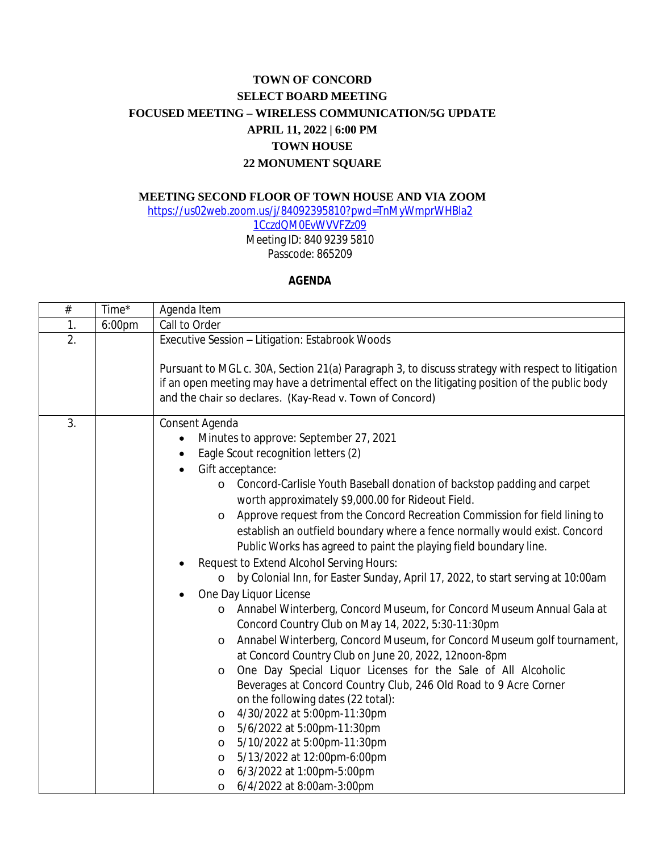## **TOWN OF CONCORD SELECT BOARD MEETING FOCUSED MEETING – WIRELESS COMMUNICATION/5G UPDATE APRIL 11, 2022 | 6:00 PM TOWN HOUSE 22 MONUMENT SQUARE**

## **MEETING SECOND FLOOR OF TOWN HOUSE AND VIA ZOOM**

[https://us02web.zoom.us/j/84092395810?pwd=TnMyWmprWHBla2](https://us02web.zoom.us/j/84092395810?pwd=TnMyWmprWHBla21CczdQM0EvWVVFZz09) 1CczdQM0EvWVVFZz09

Meeting ID: 840 9239 5810 Passcode: 865209

## **AGENDA**

| $\#$ | Time*  | Agenda Item                                                                                                                                                                                                                                                     |
|------|--------|-----------------------------------------------------------------------------------------------------------------------------------------------------------------------------------------------------------------------------------------------------------------|
| 1.   | 6:00pm | Call to Order                                                                                                                                                                                                                                                   |
| 2.   |        | Executive Session - Litigation: Estabrook Woods                                                                                                                                                                                                                 |
|      |        | Pursuant to MGL c. 30A, Section 21(a) Paragraph 3, to discuss strategy with respect to litigation<br>if an open meeting may have a detrimental effect on the litigating position of the public body<br>and the chair so declares. (Kay-Read v. Town of Concord) |
| 3.   |        | Consent Agenda                                                                                                                                                                                                                                                  |
|      |        | Minutes to approve: September 27, 2021                                                                                                                                                                                                                          |
|      |        | Eagle Scout recognition letters (2)                                                                                                                                                                                                                             |
|      |        | Gift acceptance:<br>$\bullet$                                                                                                                                                                                                                                   |
|      |        | Concord-Carlisle Youth Baseball donation of backstop padding and carpet<br>$\circ$<br>worth approximately \$9,000.00 for Rideout Field.                                                                                                                         |
|      |        | Approve request from the Concord Recreation Commission for field lining to<br>$\circ$<br>establish an outfield boundary where a fence normally would exist. Concord<br>Public Works has agreed to paint the playing field boundary line.                        |
|      |        | Request to Extend Alcohol Serving Hours:                                                                                                                                                                                                                        |
|      |        | by Colonial Inn, for Easter Sunday, April 17, 2022, to start serving at 10:00am<br>$\circ$                                                                                                                                                                      |
|      |        | One Day Liquor License                                                                                                                                                                                                                                          |
|      |        | Annabel Winterberg, Concord Museum, for Concord Museum Annual Gala at<br>Concord Country Club on May 14, 2022, 5:30-11:30pm                                                                                                                                     |
|      |        | Annabel Winterberg, Concord Museum, for Concord Museum golf tournament,<br>$\circ$<br>at Concord Country Club on June 20, 2022, 12noon-8pm                                                                                                                      |
|      |        | One Day Special Liquor Licenses for the Sale of All Alcoholic<br>$\circ$<br>Beverages at Concord Country Club, 246 Old Road to 9 Acre Corner                                                                                                                    |
|      |        | on the following dates (22 total):                                                                                                                                                                                                                              |
|      |        | 4/30/2022 at 5:00pm-11:30pm<br>$\circ$                                                                                                                                                                                                                          |
|      |        | 5/6/2022 at 5:00pm-11:30pm<br>$\circ$                                                                                                                                                                                                                           |
|      |        | 5/10/2022 at 5:00pm-11:30pm<br>$\circ$                                                                                                                                                                                                                          |
|      |        | 5/13/2022 at 12:00pm-6:00pm<br>$\circ$                                                                                                                                                                                                                          |
|      |        | 6/3/2022 at 1:00pm-5:00pm<br>$\circ$                                                                                                                                                                                                                            |
|      |        | 6/4/2022 at 8:00am-3:00pm<br>$\circ$                                                                                                                                                                                                                            |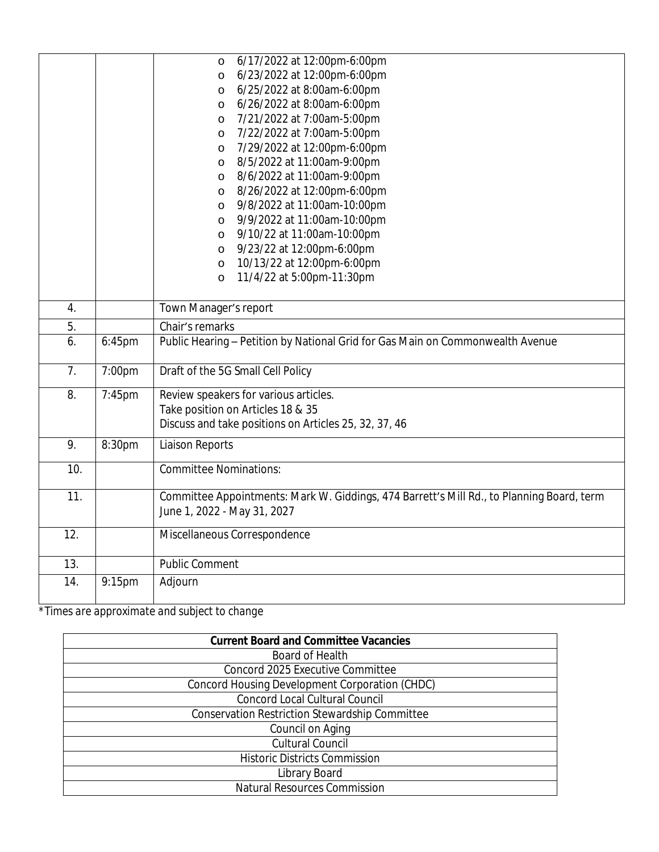*\*Times are approximate and subject to change*

| <b>Current Board and Committee Vacancies</b>   |
|------------------------------------------------|
| Board of Health                                |
| Concord 2025 Executive Committee               |
| Concord Housing Development Corporation (CHDC) |
| <b>Concord Local Cultural Council</b>          |
| Conservation Restriction Stewardship Committee |
| Council on Aging                               |
| <b>Cultural Council</b>                        |
| <b>Historic Districts Commission</b>           |
| Library Board                                  |
| <b>Natural Resources Commission</b>            |